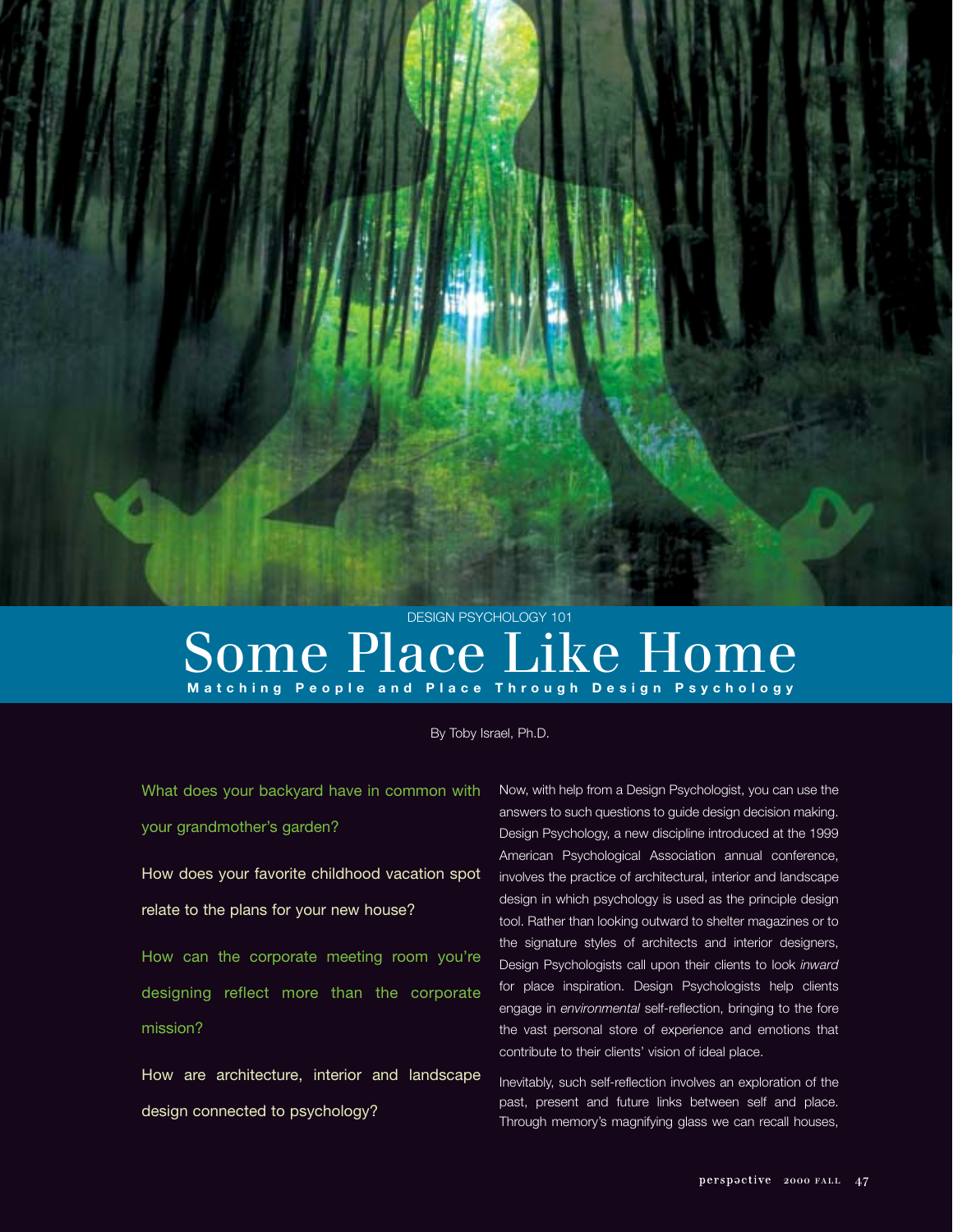

# Some Place Like Home **Matching People and Place Through Design Psychology**

By Toby Israel, Ph.D.

What does your backyard have in common with your grandmother's garden?

How does your favorite childhood vacation spot relate to the plans for your new house?

How can the corporate meeting room you're designing reflect more than the corporate mission?

How are architecture, interior and landscape design connected to psychology?

Now, with help from a Design Psychologist, you can use the answers to such questions to guide design decision making. Design Psychology, a new discipline introduced at the 1999 American Psychological Association annual conference, involves the practice of architectural, interior and landscape design in which psychology is used as the principle design tool. Rather than looking outward to shelter magazines or to the signature styles of architects and interior designers, Design Psychologists call upon their clients to look *inward* for place inspiration. Design Psychologists help clients engage in *environmental* self-reflection, bringing to the fore the vast personal store of experience and emotions that contribute to their clients' vision of ideal place.

Inevitably, such self-reflection involves an exploration of the past, present and future links between self and place. Through memory's magnifying glass we can recall houses,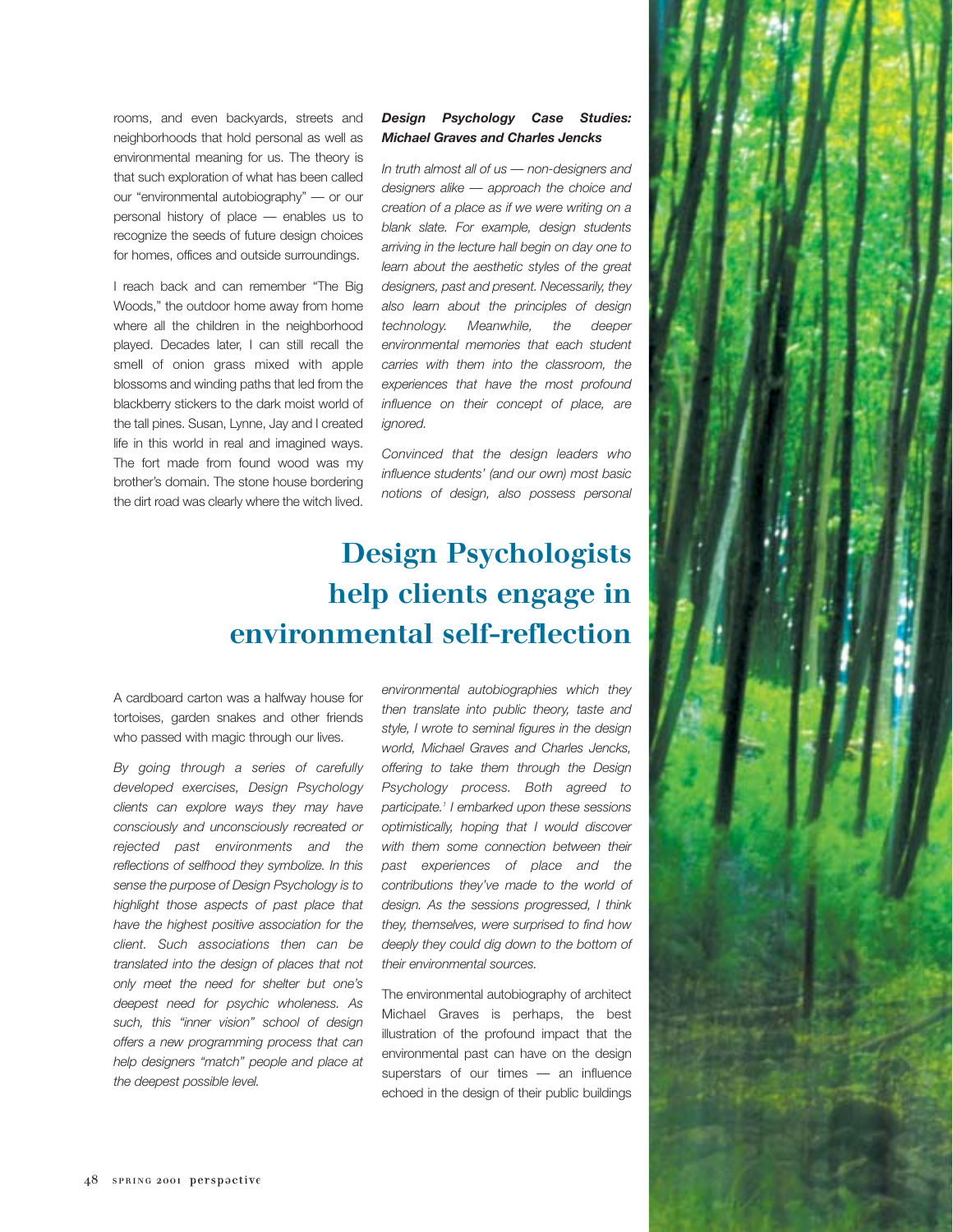rooms, and even backyards, streets and neighborhoods that hold personal as well as environmental meaning for us. The theory is that such exploration of what has been called our "environmental autobiography" — or our personal history of place — enables us to recognize the seeds of future design choices for homes, offices and outside surroundings.

I reach back and can remember "The Big Woods," the outdoor home away from home where all the children in the neighborhood played. Decades later, I can still recall the smell of onion grass mixed with apple blossoms and winding paths that led from the blackberry stickers to the dark moist world of the tall pines. Susan, Lynne, Jay and I created life in this world in real and imagined ways. The fort made from found wood was my brother's domain. The stone house bordering the dirt road was clearly where the witch lived.

#### *Design Psychology Case Studies: Michael Graves and Charles Jencks*

*In truth almost all of us — non-designers and designers alike — approach the choice and creation of a place as if we were writing on a blank slate. For example, design students arriving in the lecture hall begin on day one to learn about the aesthetic styles of the great designers, past and present. Necessarily, they also learn about the principles of design technology. Meanwhile, the deeper environmental memories that each student carries with them into the classroom, the experiences that have the most profound influence on their concept of place, are ignored.*

*Convinced that the design leaders who influence students' (and our own) most basic notions of design, also possess personal*

#### **Design Psychologists help clients engage in environmental self-reflection**

A cardboard carton was a halfway house for tortoises, garden snakes and other friends who passed with magic through our lives.

*By going through a series of carefully developed exercises, Design Psychology clients can explore ways they may have consciously and unconsciously recreated or rejected past environments and the reflections of selfhood they symbolize. In this sense the purpose of Design Psychology is to highlight those aspects of past place that have the highest positive association for the client. Such associations then can be translated into the design of places that not only meet the need for shelter but one's deepest need for psychic wholeness. As such, this "inner vision" school of design offers a new programming process that can help designers "match" people and place at the deepest possible level.*

*environmental autobiographies which they then translate into public theory, taste and style, I wrote to seminal figures in the design world, Michael Graves and Charles Jencks, offering to take them through the Design Psychology process. Both agreed to participate.1 I embarked upon these sessions optimistically, hoping that I would discover with them some connection between their past experiences of place and the contributions they've made to the world of design. As the sessions progressed, I think they, themselves, were surprised to find how deeply they could dig down to the bottom of their environmental sources.*

The environmental autobiography of architect Michael Graves is perhaps, the best illustration of the profound impact that the environmental past can have on the design superstars of our times — an influence echoed in the design of their public buildings

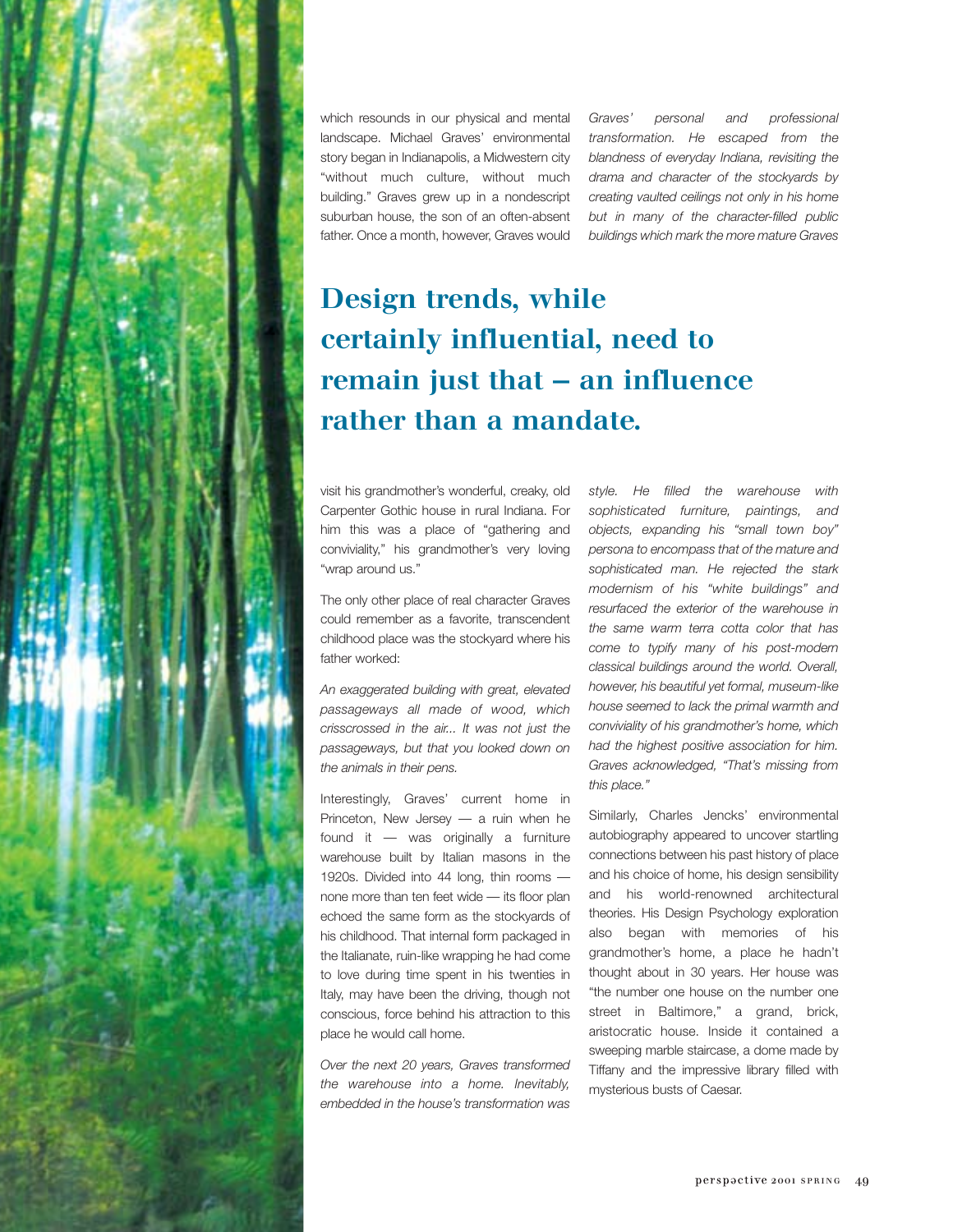

*Graves' personal and professional transformation. He escaped from the blandness of everyday Indiana, revisiting the drama and character of the stockyards by creating vaulted ceilings not only in his home but in many of the character-filled public buildings which mark the more mature Graves*

# **Design trends, while certainly influential, need to remain just that — an influence rather than a mandate.**

visit his grandmother's wonderful, creaky, old Carpenter Gothic house in rural Indiana. For him this was a place of "gathering and conviviality," his grandmother's very loving "wrap around us."

The only other place of real character Graves could remember as a favorite, transcendent childhood place was the stockyard where his father worked:

*An exaggerated building with great, elevated passageways all made of wood, which crisscrossed in the air... It was not just the passageways, but that you looked down on the animals in their pens.*

Interestingly, Graves' current home in Princeton, New Jersey — a ruin when he found it — was originally a furniture warehouse built by Italian masons in the 1920s. Divided into 44 long, thin rooms none more than ten feet wide — its floor plan echoed the same form as the stockyards of his childhood. That internal form packaged in the Italianate, ruin-like wrapping he had come to love during time spent in his twenties in Italy, may have been the driving, though not conscious, force behind his attraction to this place he would call home.

*Over the next 20 years, Graves transformed the warehouse into a home. Inevitably, embedded in the house's transformation was* *style. He filled the warehouse with sophisticated furniture, paintings, and objects, expanding his "small town boy" persona to encompass that of the mature and sophisticated man. He rejected the stark modernism of his "white buildings" and resurfaced the exterior of the warehouse in the same warm terra cotta color that has come to typify many of his post-modern classical buildings around the world. Overall, however, his beautiful yet formal, museum-like house seemed to lack the primal warmth and conviviality of his grandmother's home, which had the highest positive association for him. Graves acknowledged, "That's missing from this place."*

Similarly, Charles Jencks' environmental autobiography appeared to uncover startling connections between his past history of place and his choice of home, his design sensibility and his world-renowned architectural theories. His Design Psychology exploration also began with memories of his grandmother's home, a place he hadn't thought about in 30 years. Her house was "the number one house on the number one street in Baltimore," a grand, brick, aristocratic house. Inside it contained a sweeping marble staircase, a dome made by Tiffany and the impressive library filled with mysterious busts of Caesar.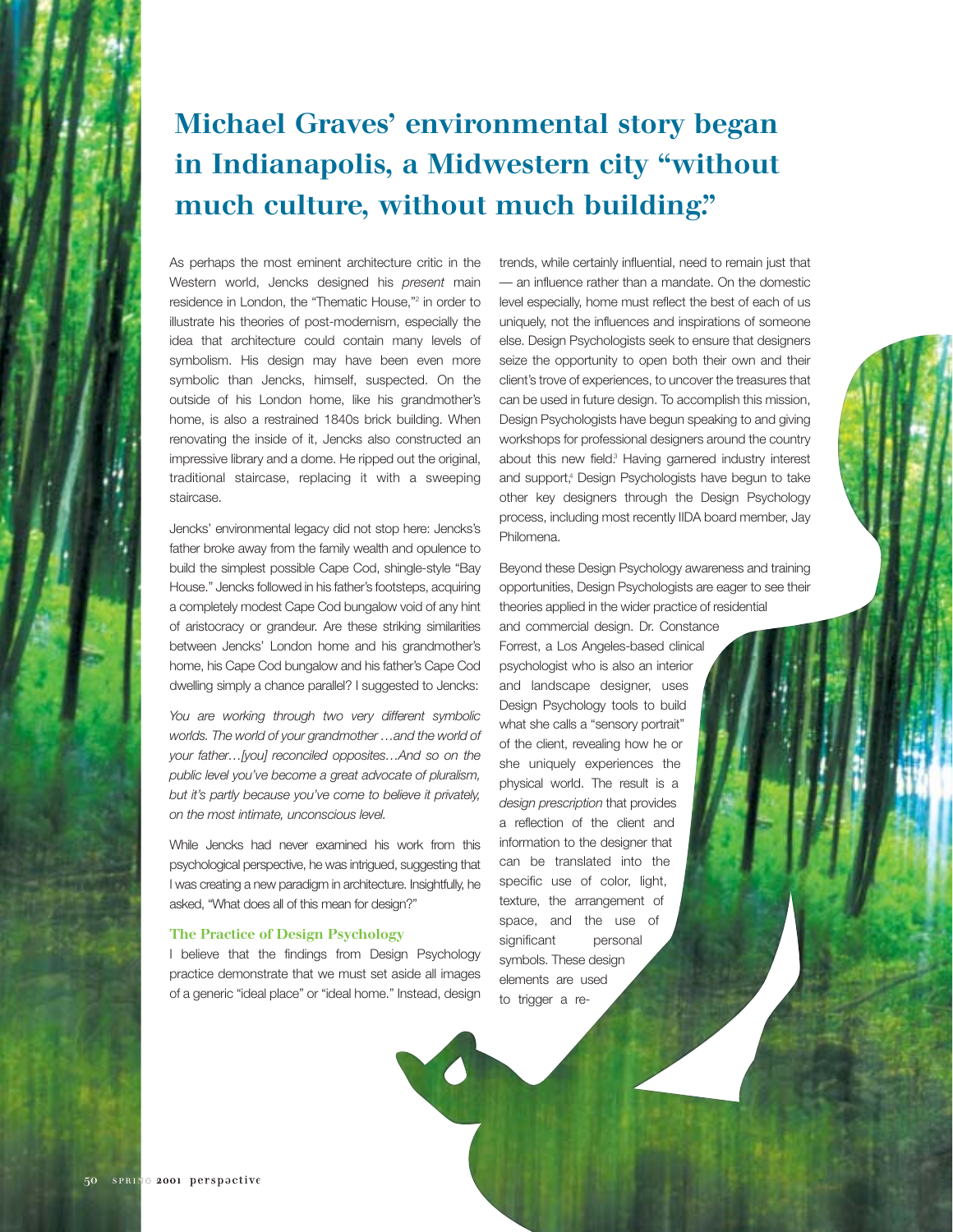### **Michael Graves' environmental story began in Indianapolis, a Midwestern city "without much culture, without much building."**

As perhaps the most eminent architecture critic in the Western world, Jencks designed his *present* main residence in London, the "Thematic House,"2 in order to illustrate his theories of post-modernism, especially the idea that architecture could contain many levels of symbolism. His design may have been even more symbolic than Jencks, himself, suspected. On the outside of his London home, like his grandmother's home, is also a restrained 1840s brick building. When renovating the inside of it, Jencks also constructed an impressive library and a dome. He ripped out the original, traditional staircase, replacing it with a sweeping staircase.

Jencks' environmental legacy did not stop here: Jencks's father broke away from the family wealth and opulence to build the simplest possible Cape Cod, shingle-style "Bay House." Jencks followed in his father's footsteps, acquiring a completely modest Cape Cod bungalow void of any hint of aristocracy or grandeur. Are these striking similarities between Jencks' London home and his grandmother's home, his Cape Cod bungalow and his father's Cape Cod dwelling simply a chance parallel? I suggested to Jencks:

*You are working through two very different symbolic worlds. The world of your grandmother …and the world of your father…[you] reconciled opposites…And so on the public level you've become a great advocate of pluralism, but it's partly because you've come to believe it privately, on the most intimate, unconscious level.*

While Jencks had never examined his work from this psychological perspective, he was intrigued, suggesting that I was creating a new paradigm in architecture. Insightfully, he asked, "What does all of this mean for design?"

#### The Practice of Design Psychology

I believe that the findings from Design Psychology practice demonstrate that we must set aside all images of a generic "ideal place" or "ideal home." Instead, design trends, while certainly influential, need to remain just that — an influence rather than a mandate. On the domestic level especially, home must reflect the best of each of us uniquely, not the influences and inspirations of someone else. Design Psychologists seek to ensure that designers seize the opportunity to open both their own and their client's trove of experiences, to uncover the treasures that can be used in future design. To accomplish this mission, Design Psychologists have begun speaking to and giving workshops for professional designers around the country about this new field.<sup>3</sup> Having garnered industry interest and support,<sup>4</sup> Design Psychologists have begun to take other key designers through the Design Psychology process, including most recently IIDA board member, Jay Philomena.

Beyond these Design Psychology awareness and training opportunities, Design Psychologists are eager to see their theories applied in the wider practice of residential

and commercial design. Dr. Constance Forrest, a Los Angeles-based clinical psychologist who is also an interior and landscape designer, uses Design Psychology tools to build what she calls a "sensory portrait" of the client, revealing how he or she uniquely experiences the physical world. The result is a *design prescription* that provides a reflection of the client and information to the designer that can be translated into the specific use of color, light, texture, the arrangement of space, and the use of significant personal symbols. These design elements are used to trigger a re